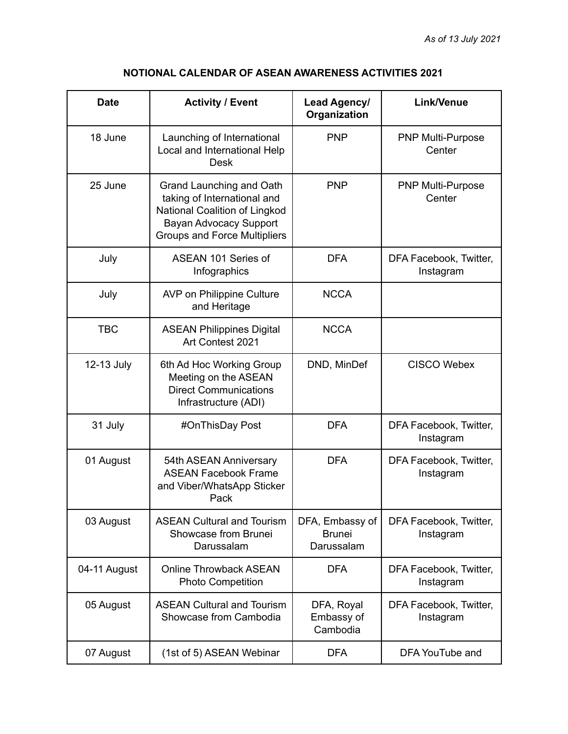## **NOTIONAL CALENDAR OF ASEAN AWARENESS ACTIVITIES 2021**

| <b>Date</b>  | <b>Activity / Event</b>                                                                                                                                          | Lead Agency/<br>Organization                   | <b>Link/Venue</b>                   |
|--------------|------------------------------------------------------------------------------------------------------------------------------------------------------------------|------------------------------------------------|-------------------------------------|
| 18 June      | Launching of International<br>Local and International Help<br><b>Desk</b>                                                                                        | <b>PNP</b>                                     | <b>PNP Multi-Purpose</b><br>Center  |
| 25 June      | Grand Launching and Oath<br>taking of International and<br>National Coalition of Lingkod<br><b>Bayan Advocacy Support</b><br><b>Groups and Force Multipliers</b> | <b>PNP</b>                                     | <b>PNP Multi-Purpose</b><br>Center  |
| July         | ASEAN 101 Series of<br>Infographics                                                                                                                              | <b>DFA</b>                                     | DFA Facebook, Twitter,<br>Instagram |
| July         | AVP on Philippine Culture<br>and Heritage                                                                                                                        | <b>NCCA</b>                                    |                                     |
| <b>TBC</b>   | <b>ASEAN Philippines Digital</b><br>Art Contest 2021                                                                                                             | <b>NCCA</b>                                    |                                     |
| 12-13 July   | 6th Ad Hoc Working Group<br>Meeting on the ASEAN<br><b>Direct Communications</b><br>Infrastructure (ADI)                                                         | DND, MinDef                                    | <b>CISCO Webex</b>                  |
| 31 July      | #OnThisDay Post                                                                                                                                                  | <b>DFA</b>                                     | DFA Facebook, Twitter,<br>Instagram |
| 01 August    | 54th ASEAN Anniversary<br><b>ASEAN Facebook Frame</b><br>and Viber/WhatsApp Sticker<br>Pack                                                                      | <b>DFA</b>                                     | DFA Facebook, Twitter,<br>Instagram |
| 03 August    | <b>ASEAN Cultural and Tourism</b><br>Showcase from Brunei<br>Darussalam                                                                                          | DFA, Embassy of<br><b>Brunei</b><br>Darussalam | DFA Facebook, Twitter,<br>Instagram |
| 04-11 August | <b>Online Throwback ASEAN</b><br><b>Photo Competition</b>                                                                                                        | <b>DFA</b>                                     | DFA Facebook, Twitter,<br>Instagram |
| 05 August    | <b>ASEAN Cultural and Tourism</b><br>Showcase from Cambodia                                                                                                      | DFA, Royal<br>Embassy of<br>Cambodia           | DFA Facebook, Twitter,<br>Instagram |
| 07 August    | (1st of 5) ASEAN Webinar                                                                                                                                         | <b>DFA</b>                                     | DFA YouTube and                     |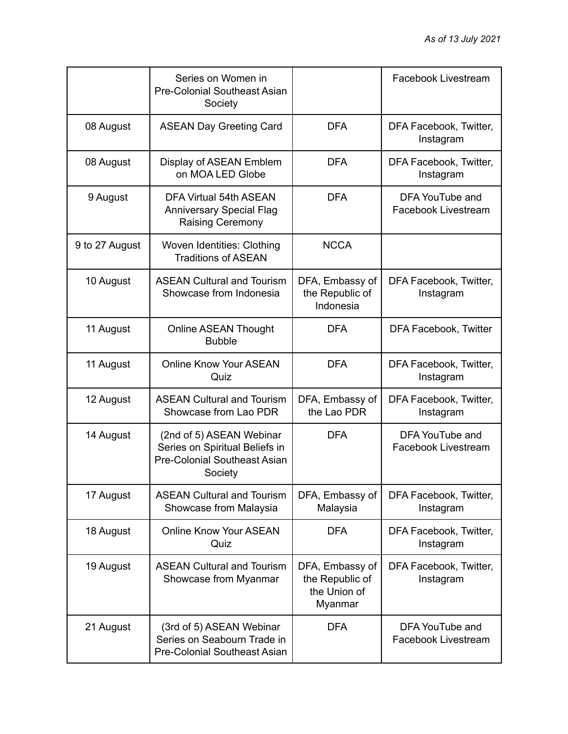|                | Series on Women in<br>Pre-Colonial Southeast Asian<br>Society                                                |                                                               | Facebook Livestream                    |
|----------------|--------------------------------------------------------------------------------------------------------------|---------------------------------------------------------------|----------------------------------------|
| 08 August      | <b>ASEAN Day Greeting Card</b>                                                                               | <b>DFA</b>                                                    | DFA Facebook, Twitter,<br>Instagram    |
| 08 August      | Display of ASEAN Emblem<br>on MOA LED Globe                                                                  | <b>DFA</b>                                                    | DFA Facebook, Twitter,<br>Instagram    |
| 9 August       | DFA Virtual 54th ASEAN<br><b>Anniversary Special Flag</b><br><b>Raising Ceremony</b>                         | <b>DFA</b>                                                    | DFA YouTube and<br>Facebook Livestream |
| 9 to 27 August | Woven Identities: Clothing<br><b>Traditions of ASEAN</b>                                                     | <b>NCCA</b>                                                   |                                        |
| 10 August      | <b>ASEAN Cultural and Tourism</b><br>Showcase from Indonesia                                                 | DFA, Embassy of<br>the Republic of<br>Indonesia               | DFA Facebook, Twitter,<br>Instagram    |
| 11 August      | Online ASEAN Thought<br><b>Bubble</b>                                                                        | <b>DFA</b>                                                    | DFA Facebook, Twitter                  |
| 11 August      | <b>Online Know Your ASEAN</b><br>Quiz                                                                        | <b>DFA</b>                                                    | DFA Facebook, Twitter,<br>Instagram    |
| 12 August      | <b>ASEAN Cultural and Tourism</b><br>Showcase from Lao PDR                                                   | DFA, Embassy of<br>the Lao PDR                                | DFA Facebook, Twitter,<br>Instagram    |
| 14 August      | (2nd of 5) ASEAN Webinar<br>Series on Spiritual Beliefs in<br><b>Pre-Colonial Southeast Asian</b><br>Society | <b>DFA</b>                                                    | DFA YouTube and<br>Facebook Livestream |
| 17 August      | <b>ASEAN Cultural and Tourism</b><br>Showcase from Malaysia                                                  | DFA, Embassy of<br>Malaysia                                   | DFA Facebook, Twitter,<br>Instagram    |
| 18 August      | <b>Online Know Your ASEAN</b><br>Quiz                                                                        | <b>DFA</b>                                                    | DFA Facebook, Twitter,<br>Instagram    |
| 19 August      | <b>ASEAN Cultural and Tourism</b><br>Showcase from Myanmar                                                   | DFA, Embassy of<br>the Republic of<br>the Union of<br>Myanmar | DFA Facebook, Twitter,<br>Instagram    |
| 21 August      | (3rd of 5) ASEAN Webinar<br>Series on Seabourn Trade in<br><b>Pre-Colonial Southeast Asian</b>               | <b>DFA</b>                                                    | DFA YouTube and<br>Facebook Livestream |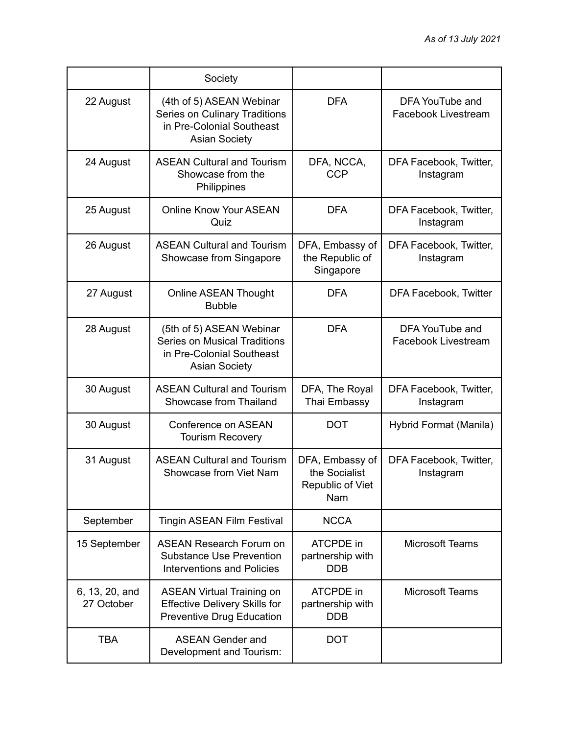|                              | Society                                                                                                        |                                                             |                                        |
|------------------------------|----------------------------------------------------------------------------------------------------------------|-------------------------------------------------------------|----------------------------------------|
| 22 August                    | (4th of 5) ASEAN Webinar<br>Series on Culinary Traditions<br>in Pre-Colonial Southeast<br><b>Asian Society</b> | <b>DFA</b>                                                  | DFA YouTube and<br>Facebook Livestream |
| 24 August                    | <b>ASEAN Cultural and Tourism</b><br>Showcase from the<br>Philippines                                          | DFA, NCCA,<br><b>CCP</b>                                    | DFA Facebook, Twitter,<br>Instagram    |
| 25 August                    | <b>Online Know Your ASEAN</b><br>Quiz                                                                          | <b>DFA</b>                                                  | DFA Facebook, Twitter,<br>Instagram    |
| 26 August                    | <b>ASEAN Cultural and Tourism</b><br>Showcase from Singapore                                                   | DFA, Embassy of<br>the Republic of<br>Singapore             | DFA Facebook, Twitter,<br>Instagram    |
| 27 August                    | <b>Online ASEAN Thought</b><br><b>Bubble</b>                                                                   | <b>DFA</b>                                                  | DFA Facebook, Twitter                  |
| 28 August                    | (5th of 5) ASEAN Webinar<br>Series on Musical Traditions<br>in Pre-Colonial Southeast<br><b>Asian Society</b>  | <b>DFA</b>                                                  | DFA YouTube and<br>Facebook Livestream |
| 30 August                    | <b>ASEAN Cultural and Tourism</b><br>Showcase from Thailand                                                    | DFA, The Royal<br>Thai Embassy                              | DFA Facebook, Twitter,<br>Instagram    |
| 30 August                    | Conference on ASEAN<br><b>Tourism Recovery</b>                                                                 | <b>DOT</b>                                                  | Hybrid Format (Manila)                 |
| 31 August                    | <b>ASEAN Cultural and Tourism</b><br>Showcase from Viet Nam                                                    | DFA, Embassy of<br>the Socialist<br>Republic of Viet<br>Nam | DFA Facebook, Twitter,<br>Instagram    |
| September                    | <b>Tingin ASEAN Film Festival</b>                                                                              | <b>NCCA</b>                                                 |                                        |
| 15 September                 | <b>ASEAN Research Forum on</b><br><b>Substance Use Prevention</b><br><b>Interventions and Policies</b>         | <b>ATCPDE</b> in<br>partnership with<br><b>DDB</b>          | <b>Microsoft Teams</b>                 |
| 6, 13, 20, and<br>27 October | <b>ASEAN Virtual Training on</b><br><b>Effective Delivery Skills for</b><br><b>Preventive Drug Education</b>   | <b>ATCPDE</b> in<br>partnership with<br><b>DDB</b>          | <b>Microsoft Teams</b>                 |
| <b>TBA</b>                   | <b>ASEAN Gender and</b><br>Development and Tourism:                                                            | <b>DOT</b>                                                  |                                        |